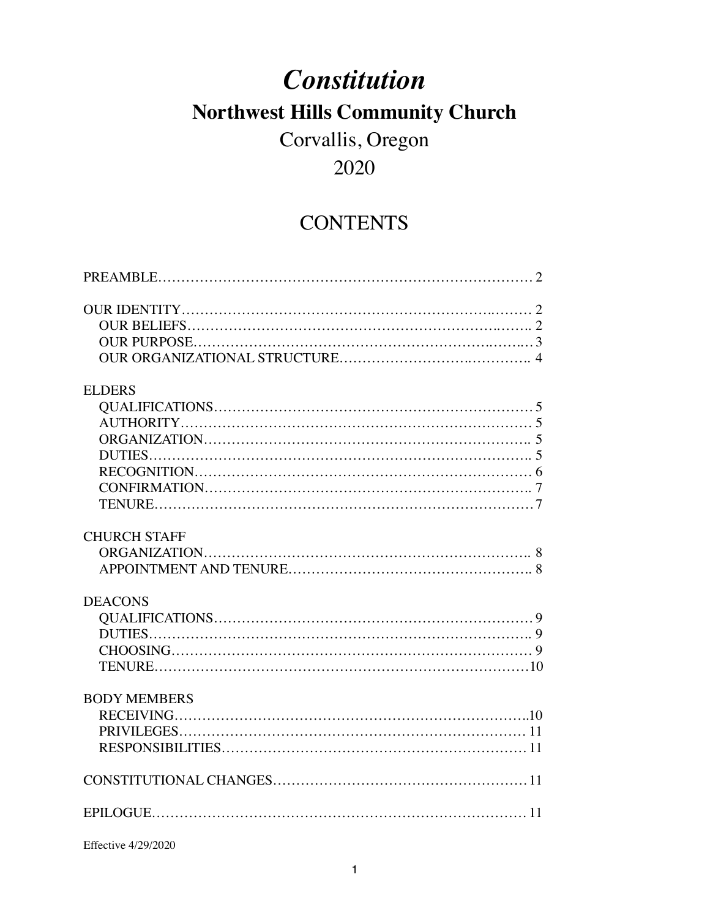# *Constitution* **Northwest Hills Community Church**

# Corvallis, Oregon

# 2020

# **CONTENTS**

| <b>ELDERS</b>       |  |
|---------------------|--|
|                     |  |
|                     |  |
|                     |  |
|                     |  |
|                     |  |
|                     |  |
|                     |  |
| <b>CHURCH STAFF</b> |  |
|                     |  |
|                     |  |
| <b>DEACONS</b>      |  |
|                     |  |
|                     |  |
|                     |  |
|                     |  |
| <b>BODY MEMBERS</b> |  |
|                     |  |
|                     |  |
|                     |  |
|                     |  |
|                     |  |

Effective 4/29/2020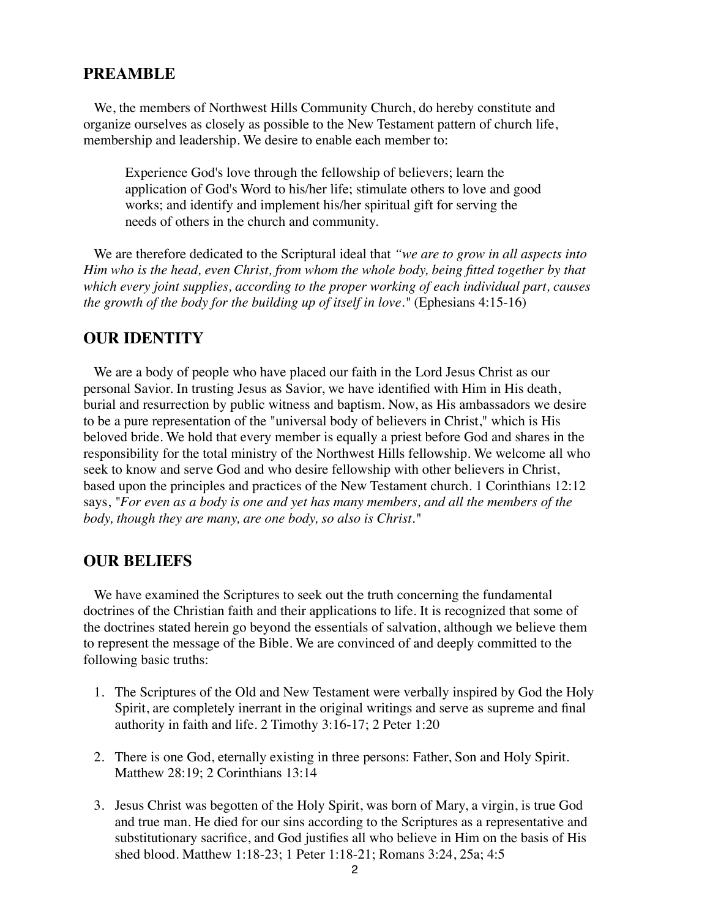#### **PREAMBLE**

We, the members of Northwest Hills Community Church, do hereby constitute and organize ourselves as closely as possible to the New Testament pattern of church life, membership and leadership. We desire to enable each member to:

Experience God's love through the fellowship of believers; learn the application of God's Word to his/her life; stimulate others to love and good works; and identify and implement his/her spiritual gift for serving the needs of others in the church and community.

We are therefore dedicated to the Scriptural ideal that *"we are to grow in all aspects into Him who is the head, even Christ, from whom the whole body, being fitted together by that which every joint supplies, according to the proper working of each individual part, causes the growth of the body for the building up of itself in love."* (Ephesians 4:15-16)

# **OUR IDENTITY**

We are a body of people who have placed our faith in the Lord Jesus Christ as our personal Savior. In trusting Jesus as Savior, we have identified with Him in His death, burial and resurrection by public witness and baptism. Now, as His ambassadors we desire to be a pure representation of the "universal body of believers in Christ," which is His beloved bride. We hold that every member is equally a priest before God and shares in the responsibility for the total ministry of the Northwest Hills fellowship. We welcome all who seek to know and serve God and who desire fellowship with other believers in Christ, based upon the principles and practices of the New Testament church. 1 Corinthians 12:12 says, *"For even as a body is one and yet has many members, and all the members of the body, though they are many, are one body, so also is Christ."*

#### **OUR BELIEFS**

We have examined the Scriptures to seek out the truth concerning the fundamental doctrines of the Christian faith and their applications to life. It is recognized that some of the doctrines stated herein go beyond the essentials of salvation, although we believe them to represent the message of the Bible. We are convinced of and deeply committed to the following basic truths:

- 1. The Scriptures of the Old and New Testament were verbally inspired by God the Holy Spirit, are completely inerrant in the original writings and serve as supreme and final authority in faith and life. 2 Timothy 3:16-17; 2 Peter 1:20
- 2. There is one God, eternally existing in three persons: Father, Son and Holy Spirit. Matthew 28:19; 2 Corinthians 13:14
- 3. Jesus Christ was begotten of the Holy Spirit, was born of Mary, a virgin, is true God and true man. He died for our sins according to the Scriptures as a representative and substitutionary sacrifice, and God justifies all who believe in Him on the basis of His shed blood. Matthew 1:18-23; 1 Peter 1:18-21; Romans 3:24, 25a; 4:5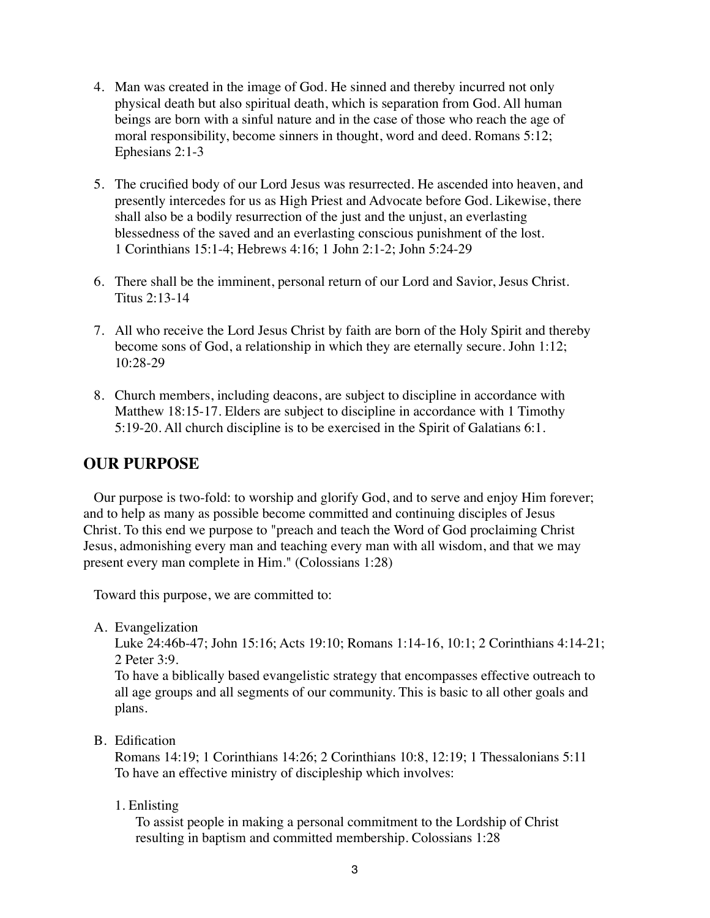- 4. Man was created in the image of God. He sinned and thereby incurred not only physical death but also spiritual death, which is separation from God. All human beings are born with a sinful nature and in the case of those who reach the age of moral responsibility, become sinners in thought, word and deed. Romans 5:12; Ephesians 2:1-3
- 5. The crucified body of our Lord Jesus was resurrected. He ascended into heaven, and presently intercedes for us as High Priest and Advocate before God. Likewise, there shall also be a bodily resurrection of the just and the unjust, an everlasting blessedness of the saved and an everlasting conscious punishment of the lost. 1 Corinthians 15:1-4; Hebrews 4:16; 1 John 2:1-2; John 5:24-29
- 6. There shall be the imminent, personal return of our Lord and Savior, Jesus Christ. Titus 2:13-14
- 7. All who receive the Lord Jesus Christ by faith are born of the Holy Spirit and thereby become sons of God, a relationship in which they are eternally secure. John 1:12; 10:28-29
- 8. Church members, including deacons, are subject to discipline in accordance with Matthew 18:15-17. Elders are subject to discipline in accordance with 1 Timothy 5:19-20. All church discipline is to be exercised in the Spirit of Galatians 6:1.

# **OUR PURPOSE**

Our purpose is two-fold: to worship and glorify God, and to serve and enjoy Him forever; and to help as many as possible become committed and continuing disciples of Jesus Christ. To this end we purpose to "preach and teach the Word of God proclaiming Christ Jesus, admonishing every man and teaching every man with all wisdom, and that we may present every man complete in Him." (Colossians 1:28)

Toward this purpose, we are committed to:

A. Evangelization

Luke 24:46b-47; John 15:16; Acts 19:10; Romans 1:14-16, 10:1; 2 Corinthians 4:14-21; 2 Peter 3:9.

To have a biblically based evangelistic strategy that encompasses effective outreach to all age groups and all segments of our community. This is basic to all other goals and plans.

B. Edification

Romans 14:19; 1 Corinthians 14:26; 2 Corinthians 10:8, 12:19; 1 Thessalonians 5:11 To have an effective ministry of discipleship which involves:

1. Enlisting

To assist people in making a personal commitment to the Lordship of Christ resulting in baptism and committed membership. Colossians 1:28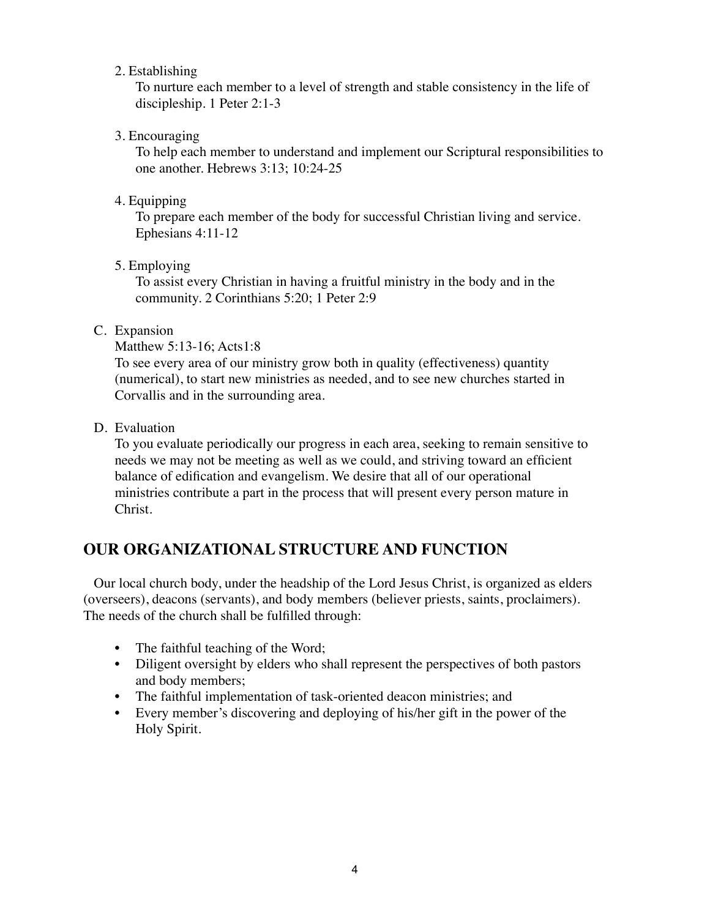### 2. Establishing

To nurture each member to a level of strength and stable consistency in the life of discipleship. 1 Peter 2:1-3

# 3. Encouraging

To help each member to understand and implement our Scriptural responsibilities to one another. Hebrews 3:13; 10:24-25

# 4. Equipping

To prepare each member of the body for successful Christian living and service. Ephesians 4:11-12

5. Employing

To assist every Christian in having a fruitful ministry in the body and in the community. 2 Corinthians 5:20; 1 Peter 2:9

# C. Expansion

#### Matthew 5:13-16; Acts1:8

To see every area of our ministry grow both in quality (effectiveness) quantity (numerical), to start new ministries as needed, and to see new churches started in Corvallis and in the surrounding area.

D. Evaluation

To you evaluate periodically our progress in each area, seeking to remain sensitive to needs we may not be meeting as well as we could, and striving toward an efficient balance of edification and evangelism. We desire that all of our operational ministries contribute a part in the process that will present every person mature in Christ.

# **OUR ORGANIZATIONAL STRUCTURE AND FUNCTION**

Our local church body, under the headship of the Lord Jesus Christ, is organized as elders (overseers), deacons (servants), and body members (believer priests, saints, proclaimers). The needs of the church shall be fulfilled through:

- The faithful teaching of the Word;
- Diligent oversight by elders who shall represent the perspectives of both pastors and body members;
- The faithful implementation of task-oriented deacon ministries; and
- Every member's discovering and deploying of his/her gift in the power of the Holy Spirit.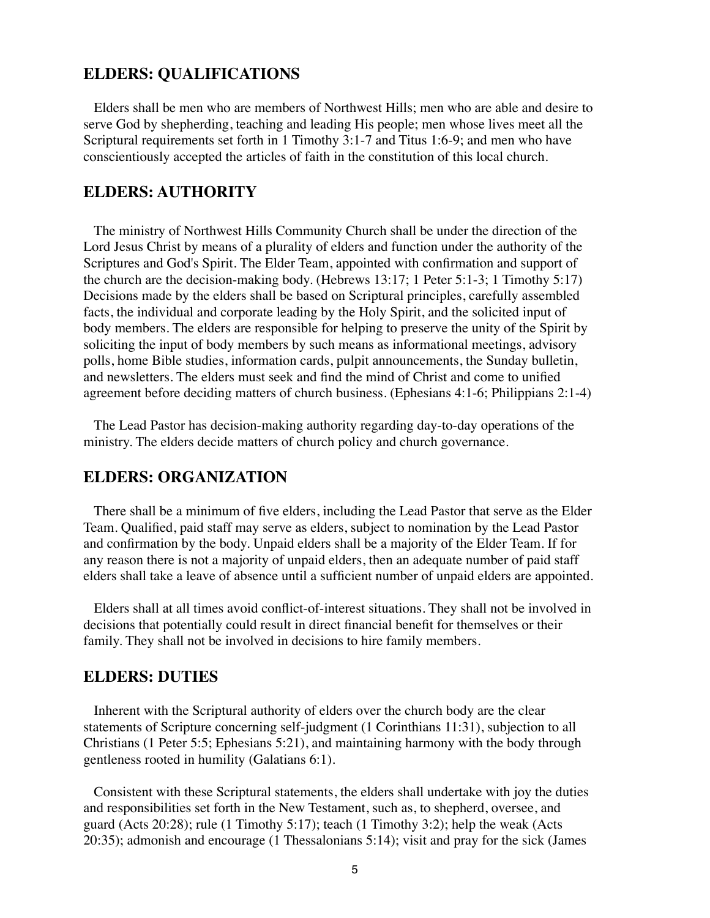#### **ELDERS: QUALIFICATIONS**

Elders shall be men who are members of Northwest Hills; men who are able and desire to serve God by shepherding, teaching and leading His people; men whose lives meet all the Scriptural requirements set forth in 1 Timothy 3:1-7 and Titus 1:6-9; and men who have conscientiously accepted the articles of faith in the constitution of this local church.

# **ELDERS: AUTHORITY**

The ministry of Northwest Hills Community Church shall be under the direction of the Lord Jesus Christ by means of a plurality of elders and function under the authority of the Scriptures and God's Spirit. The Elder Team, appointed with confirmation and support of the church are the decision-making body. (Hebrews 13:17; 1 Peter 5:1-3; 1 Timothy 5:17) Decisions made by the elders shall be based on Scriptural principles, carefully assembled facts, the individual and corporate leading by the Holy Spirit, and the solicited input of body members. The elders are responsible for helping to preserve the unity of the Spirit by soliciting the input of body members by such means as informational meetings, advisory polls, home Bible studies, information cards, pulpit announcements, the Sunday bulletin, and newsletters. The elders must seek and find the mind of Christ and come to unified agreement before deciding matters of church business. (Ephesians 4:1-6; Philippians 2:1-4)

The Lead Pastor has decision-making authority regarding day-to-day operations of the ministry. The elders decide matters of church policy and church governance.

# **ELDERS: ORGANIZATION**

There shall be a minimum of five elders, including the Lead Pastor that serve as the Elder Team. Qualified, paid staff may serve as elders, subject to nomination by the Lead Pastor and confirmation by the body. Unpaid elders shall be a majority of the Elder Team. If for any reason there is not a majority of unpaid elders, then an adequate number of paid staff elders shall take a leave of absence until a sufficient number of unpaid elders are appointed.

Elders shall at all times avoid conflict-of-interest situations. They shall not be involved in decisions that potentially could result in direct financial benefit for themselves or their family. They shall not be involved in decisions to hire family members.

#### **ELDERS: DUTIES**

Inherent with the Scriptural authority of elders over the church body are the clear statements of Scripture concerning self-judgment (1 Corinthians 11:31), subjection to all Christians (1 Peter 5:5; Ephesians 5:21), and maintaining harmony with the body through gentleness rooted in humility (Galatians 6:1).

Consistent with these Scriptural statements, the elders shall undertake with joy the duties and responsibilities set forth in the New Testament, such as, to shepherd, oversee, and guard (Acts 20:28); rule (1 Timothy 5:17); teach (1 Timothy 3:2); help the weak (Acts 20:35); admonish and encourage (1 Thessalonians 5:14); visit and pray for the sick (James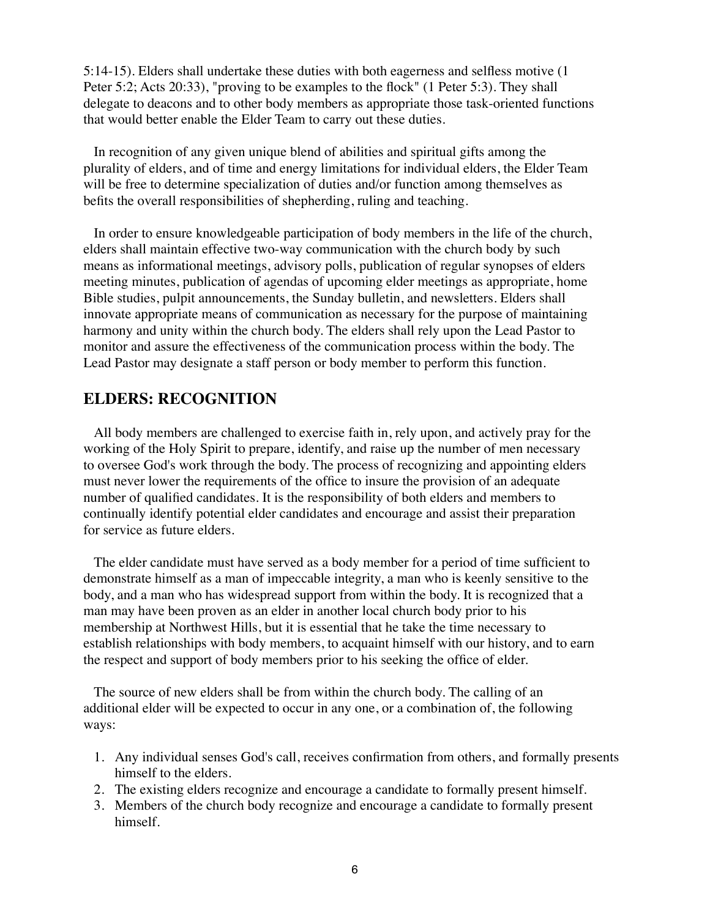5:14-15). Elders shall undertake these duties with both eagerness and selfless motive (1 Peter 5:2; Acts 20:33), "proving to be examples to the flock" (1 Peter 5:3). They shall delegate to deacons and to other body members as appropriate those task-oriented functions that would better enable the Elder Team to carry out these duties.

In recognition of any given unique blend of abilities and spiritual gifts among the plurality of elders, and of time and energy limitations for individual elders, the Elder Team will be free to determine specialization of duties and/or function among themselves as befits the overall responsibilities of shepherding, ruling and teaching.

In order to ensure knowledgeable participation of body members in the life of the church, elders shall maintain effective two-way communication with the church body by such means as informational meetings, advisory polls, publication of regular synopses of elders meeting minutes, publication of agendas of upcoming elder meetings as appropriate, home Bible studies, pulpit announcements, the Sunday bulletin, and newsletters. Elders shall innovate appropriate means of communication as necessary for the purpose of maintaining harmony and unity within the church body. The elders shall rely upon the Lead Pastor to monitor and assure the effectiveness of the communication process within the body. The Lead Pastor may designate a staff person or body member to perform this function.

### **ELDERS: RECOGNITION**

All body members are challenged to exercise faith in, rely upon, and actively pray for the working of the Holy Spirit to prepare, identify, and raise up the number of men necessary to oversee God's work through the body. The process of recognizing and appointing elders must never lower the requirements of the office to insure the provision of an adequate number of qualified candidates. It is the responsibility of both elders and members to continually identify potential elder candidates and encourage and assist their preparation for service as future elders.

The elder candidate must have served as a body member for a period of time sufficient to demonstrate himself as a man of impeccable integrity, a man who is keenly sensitive to the body, and a man who has widespread support from within the body. It is recognized that a man may have been proven as an elder in another local church body prior to his membership at Northwest Hills, but it is essential that he take the time necessary to establish relationships with body members, to acquaint himself with our history, and to earn the respect and support of body members prior to his seeking the office of elder.

The source of new elders shall be from within the church body. The calling of an additional elder will be expected to occur in any one, or a combination of, the following ways:

- 1. Any individual senses God's call, receives confirmation from others, and formally presents himself to the elders.
- 2. The existing elders recognize and encourage a candidate to formally present himself.
- 3. Members of the church body recognize and encourage a candidate to formally present himself.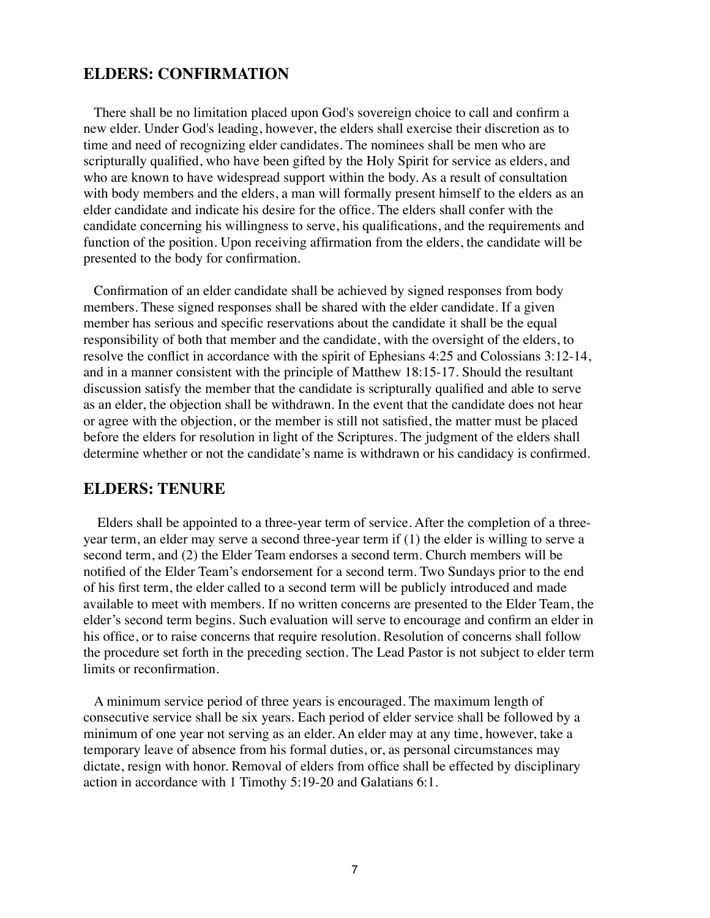#### **ELDERS: CONFIRMATION**

There shall be no limitation placed upon God's sovereign choice to call and confirm a new elder. Under God's leading, however, the elders shall exercise their discretion as to time and need of recognizing elder candidates. The nominees shall be men who are scripturally qualified, who have been gifted by the Holy Spirit for service as elders, and who are known to have widespread support within the body. As a result of consultation with body members and the elders, a man will formally present himself to the elders as an elder candidate and indicate his desire for the office. The elders shall confer with the candidate concerning his willingness to serve, his qualifications, and the requirements and function of the position. Upon receiving affirmation from the elders, the candidate will be presented to the body for confirmation.

Confirmation of an elder candidate shall be achieved by signed responses from body members. These signed responses shall be shared with the elder candidate. If a given member has serious and specific reservations about the candidate it shall be the equal responsibility of both that member and the candidate, with the oversight of the elders, to resolve the conflict in accordance with the spirit of Ephesians 4:25 and Colossians 3:12-14, and in a manner consistent with the principle of Matthew 18:15-17. Should the resultant discussion satisfy the member that the candidate is scripturally qualified and able to serve as an elder, the objection shall be withdrawn. In the event that the candidate does not hear or agree with the objection, or the member is still not satisfied, the matter must be placed before the elders for resolution in light of the Scriptures. The judgment of the elders shall determine whether or not the candidate's name is withdrawn or his candidacy is confirmed.

#### **ELDERS: TENURE**

 Elders shall be appointed to a three-year term of service. After the completion of a threeyear term, an elder may serve a second three-year term if (1) the elder is willing to serve a second term, and (2) the Elder Team endorses a second term. Church members will be notified of the Elder Team's endorsement for a second term. Two Sundays prior to the end of his first term, the elder called to a second term will be publicly introduced and made available to meet with members. If no written concerns are presented to the Elder Team, the elder's second term begins. Such evaluation will serve to encourage and confirm an elder in his office, or to raise concerns that require resolution. Resolution of concerns shall follow the procedure set forth in the preceding section. The Lead Pastor is not subject to elder term limits or reconfirmation.

A minimum service period of three years is encouraged. The maximum length of consecutive service shall be six years. Each period of elder service shall be followed by a minimum of one year not serving as an elder. An elder may at any time, however, take a temporary leave of absence from his formal duties, or, as personal circumstances may dictate, resign with honor. Removal of elders from office shall be effected by disciplinary action in accordance with 1 Timothy 5:19-20 and Galatians 6:1.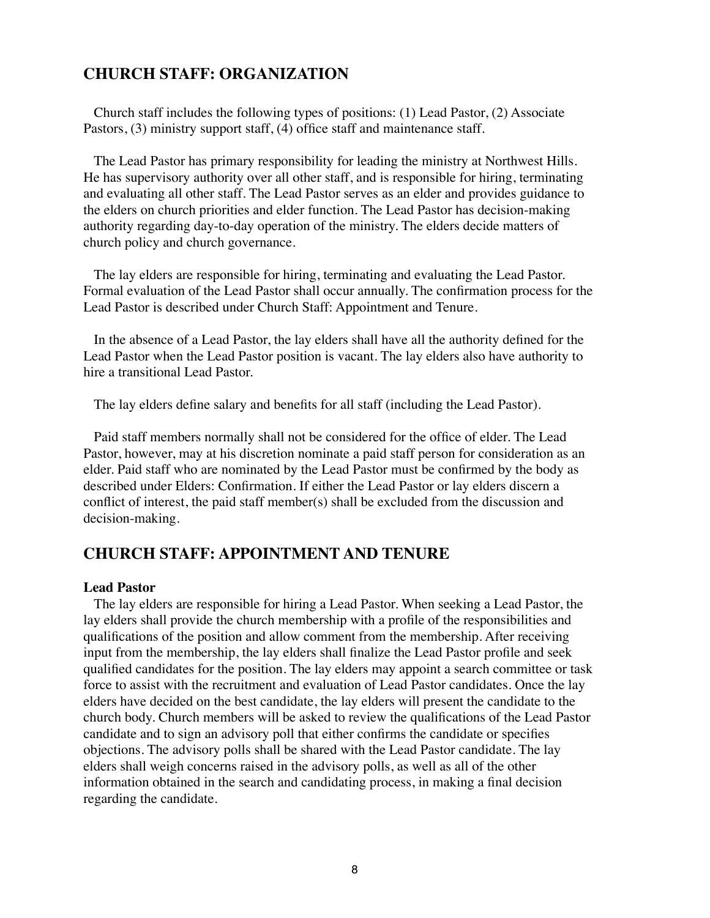# **CHURCH STAFF: ORGANIZATION**

Church staff includes the following types of positions: (1) Lead Pastor, (2) Associate Pastors, (3) ministry support staff, (4) office staff and maintenance staff.

The Lead Pastor has primary responsibility for leading the ministry at Northwest Hills. He has supervisory authority over all other staff, and is responsible for hiring, terminating and evaluating all other staff. The Lead Pastor serves as an elder and provides guidance to the elders on church priorities and elder function. The Lead Pastor has decision-making authority regarding day-to-day operation of the ministry. The elders decide matters of church policy and church governance.

The lay elders are responsible for hiring, terminating and evaluating the Lead Pastor. Formal evaluation of the Lead Pastor shall occur annually. The confirmation process for the Lead Pastor is described under Church Staff: Appointment and Tenure.

In the absence of a Lead Pastor, the lay elders shall have all the authority defined for the Lead Pastor when the Lead Pastor position is vacant. The lay elders also have authority to hire a transitional Lead Pastor.

The lay elders define salary and benefits for all staff (including the Lead Pastor).

Paid staff members normally shall not be considered for the office of elder. The Lead Pastor, however, may at his discretion nominate a paid staff person for consideration as an elder. Paid staff who are nominated by the Lead Pastor must be confirmed by the body as described under Elders: Confirmation. If either the Lead Pastor or lay elders discern a conflict of interest, the paid staff member(s) shall be excluded from the discussion and decision-making.

# **CHURCH STAFF: APPOINTMENT AND TENURE**

#### **Lead Pastor**

The lay elders are responsible for hiring a Lead Pastor. When seeking a Lead Pastor, the lay elders shall provide the church membership with a profile of the responsibilities and qualifications of the position and allow comment from the membership. After receiving input from the membership, the lay elders shall finalize the Lead Pastor profile and seek qualified candidates for the position. The lay elders may appoint a search committee or task force to assist with the recruitment and evaluation of Lead Pastor candidates. Once the lay elders have decided on the best candidate, the lay elders will present the candidate to the church body. Church members will be asked to review the qualifications of the Lead Pastor candidate and to sign an advisory poll that either confirms the candidate or specifies objections. The advisory polls shall be shared with the Lead Pastor candidate. The lay elders shall weigh concerns raised in the advisory polls, as well as all of the other information obtained in the search and candidating process, in making a final decision regarding the candidate.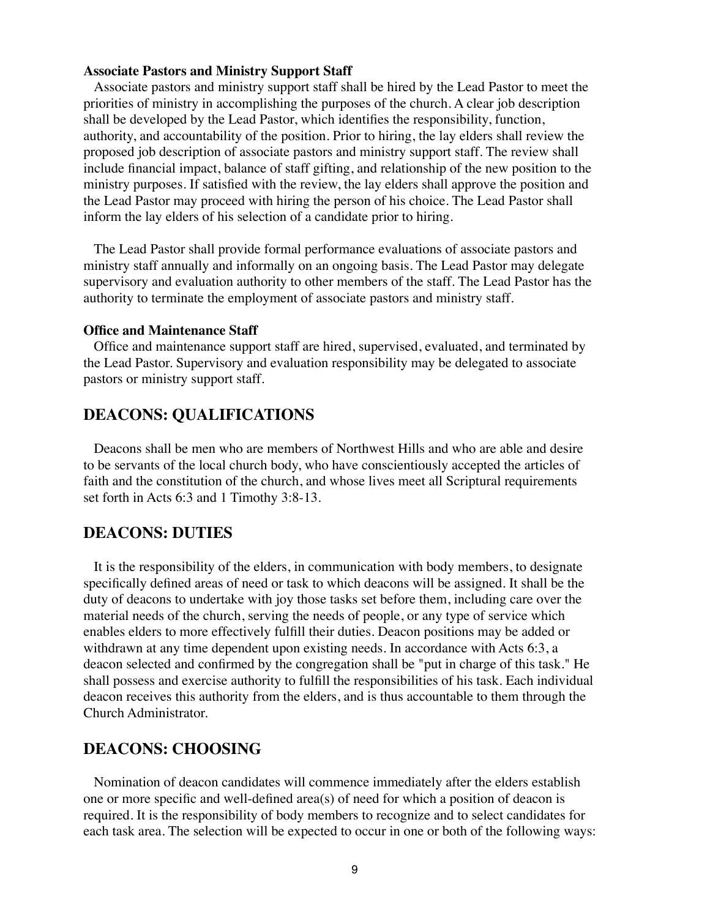#### **Associate Pastors and Ministry Support Staff**

Associate pastors and ministry support staff shall be hired by the Lead Pastor to meet the priorities of ministry in accomplishing the purposes of the church. A clear job description shall be developed by the Lead Pastor, which identifies the responsibility, function, authority, and accountability of the position. Prior to hiring, the lay elders shall review the proposed job description of associate pastors and ministry support staff. The review shall include financial impact, balance of staff gifting, and relationship of the new position to the ministry purposes. If satisfied with the review, the lay elders shall approve the position and the Lead Pastor may proceed with hiring the person of his choice. The Lead Pastor shall inform the lay elders of his selection of a candidate prior to hiring.

The Lead Pastor shall provide formal performance evaluations of associate pastors and ministry staff annually and informally on an ongoing basis. The Lead Pastor may delegate supervisory and evaluation authority to other members of the staff. The Lead Pastor has the authority to terminate the employment of associate pastors and ministry staff.

#### **Office and Maintenance Staff**

Office and maintenance support staff are hired, supervised, evaluated, and terminated by the Lead Pastor. Supervisory and evaluation responsibility may be delegated to associate pastors or ministry support staff.

#### **DEACONS: QUALIFICATIONS**

Deacons shall be men who are members of Northwest Hills and who are able and desire to be servants of the local church body, who have conscientiously accepted the articles of faith and the constitution of the church, and whose lives meet all Scriptural requirements set forth in Acts 6:3 and 1 Timothy 3:8-13.

#### **DEACONS: DUTIES**

It is the responsibility of the elders, in communication with body members, to designate specifically defined areas of need or task to which deacons will be assigned. It shall be the duty of deacons to undertake with joy those tasks set before them, including care over the material needs of the church, serving the needs of people, or any type of service which enables elders to more effectively fulfill their duties. Deacon positions may be added or withdrawn at any time dependent upon existing needs. In accordance with Acts 6:3, a deacon selected and confirmed by the congregation shall be "put in charge of this task." He shall possess and exercise authority to fulfill the responsibilities of his task. Each individual deacon receives this authority from the elders, and is thus accountable to them through the Church Administrator.

#### **DEACONS: CHOOSING**

Nomination of deacon candidates will commence immediately after the elders establish one or more specific and well-defined area(s) of need for which a position of deacon is required. It is the responsibility of body members to recognize and to select candidates for each task area. The selection will be expected to occur in one or both of the following ways: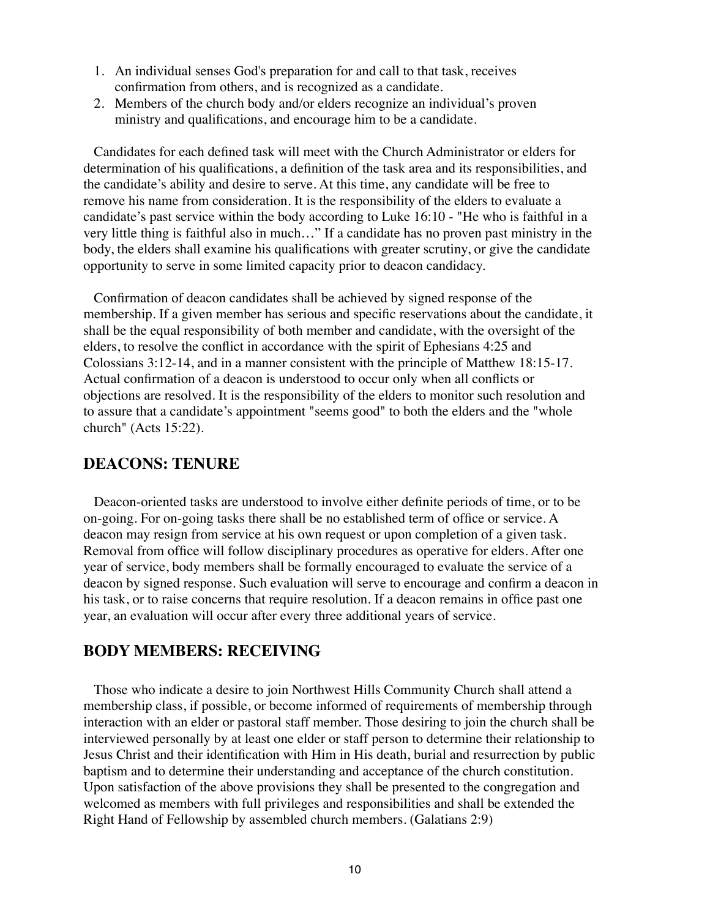- 1. An individual senses God's preparation for and call to that task, receives confirmation from others, and is recognized as a candidate.
- 2. Members of the church body and/or elders recognize an individual's proven ministry and qualifications, and encourage him to be a candidate.

Candidates for each defined task will meet with the Church Administrator or elders for determination of his qualifications, a definition of the task area and its responsibilities, and the candidate's ability and desire to serve. At this time, any candidate will be free to remove his name from consideration. It is the responsibility of the elders to evaluate a candidate's past service within the body according to Luke 16:10 - "He who is faithful in a very little thing is faithful also in much…" If a candidate has no proven past ministry in the body, the elders shall examine his qualifications with greater scrutiny, or give the candidate opportunity to serve in some limited capacity prior to deacon candidacy.

Confirmation of deacon candidates shall be achieved by signed response of the membership. If a given member has serious and specific reservations about the candidate, it shall be the equal responsibility of both member and candidate, with the oversight of the elders, to resolve the conflict in accordance with the spirit of Ephesians 4:25 and Colossians 3:12-14, and in a manner consistent with the principle of Matthew 18:15-17. Actual confirmation of a deacon is understood to occur only when all conflicts or objections are resolved. It is the responsibility of the elders to monitor such resolution and to assure that a candidate's appointment "seems good" to both the elders and the "whole church" (Acts 15:22).

#### **DEACONS: TENURE**

Deacon-oriented tasks are understood to involve either definite periods of time, or to be on-going. For on-going tasks there shall be no established term of office or service. A deacon may resign from service at his own request or upon completion of a given task. Removal from office will follow disciplinary procedures as operative for elders. After one year of service, body members shall be formally encouraged to evaluate the service of a deacon by signed response. Such evaluation will serve to encourage and confirm a deacon in his task, or to raise concerns that require resolution. If a deacon remains in office past one year, an evaluation will occur after every three additional years of service.

# **BODY MEMBERS: RECEIVING**

Those who indicate a desire to join Northwest Hills Community Church shall attend a membership class, if possible, or become informed of requirements of membership through interaction with an elder or pastoral staff member. Those desiring to join the church shall be interviewed personally by at least one elder or staff person to determine their relationship to Jesus Christ and their identification with Him in His death, burial and resurrection by public baptism and to determine their understanding and acceptance of the church constitution. Upon satisfaction of the above provisions they shall be presented to the congregation and welcomed as members with full privileges and responsibilities and shall be extended the Right Hand of Fellowship by assembled church members. (Galatians 2:9)